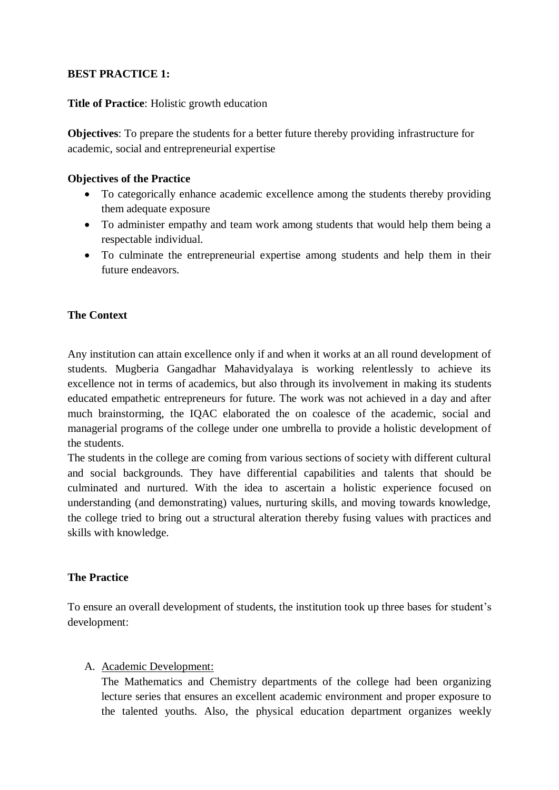## **BEST PRACTICE 1:**

**Title of Practice**: Holistic growth education

**Objectives**: To prepare the students for a better future thereby providing infrastructure for academic, social and entrepreneurial expertise

#### **Objectives of the Practice**

- To categorically enhance academic excellence among the students thereby providing them adequate exposure
- To administer empathy and team work among students that would help them being a respectable individual.
- To culminate the entrepreneurial expertise among students and help them in their future endeavors.

## **The Context**

Any institution can attain excellence only if and when it works at an all round development of students. Mugberia Gangadhar Mahavidyalaya is working relentlessly to achieve its excellence not in terms of academics, but also through its involvement in making its students educated empathetic entrepreneurs for future. The work was not achieved in a day and after much brainstorming, the IQAC elaborated the on coalesce of the academic, social and managerial programs of the college under one umbrella to provide a holistic development of the students.

The students in the college are coming from various sections of society with different cultural and social backgrounds. They have differential capabilities and talents that should be culminated and nurtured. With the idea to ascertain a holistic experience focused on understanding (and demonstrating) values, nurturing skills, and moving towards knowledge, the college tried to bring out a structural alteration thereby fusing values with practices and skills with knowledge.

## **The Practice**

To ensure an overall development of students, the institution took up three bases for student's development:

## A. Academic Development:

The Mathematics and Chemistry departments of the college had been organizing lecture series that ensures an excellent academic environment and proper exposure to the talented youths. Also, the physical education department organizes weekly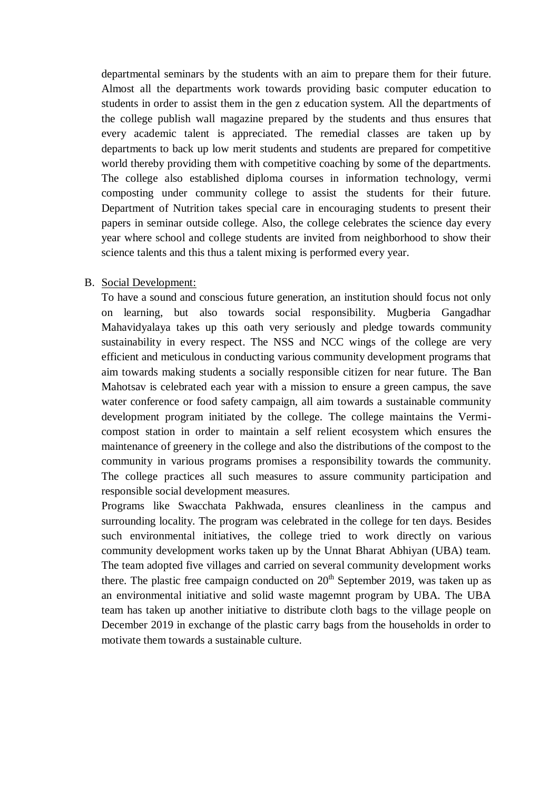departmental seminars by the students with an aim to prepare them for their future. Almost all the departments work towards providing basic computer education to students in order to assist them in the gen z education system. All the departments of the college publish wall magazine prepared by the students and thus ensures that every academic talent is appreciated. The remedial classes are taken up by departments to back up low merit students and students are prepared for competitive world thereby providing them with competitive coaching by some of the departments. The college also established diploma courses in information technology, vermi composting under community college to assist the students for their future. Department of Nutrition takes special care in encouraging students to present their papers in seminar outside college. Also, the college celebrates the science day every year where school and college students are invited from neighborhood to show their science talents and this thus a talent mixing is performed every year.

#### B. Social Development:

To have a sound and conscious future generation, an institution should focus not only on learning, but also towards social responsibility. Mugberia Gangadhar Mahavidyalaya takes up this oath very seriously and pledge towards community sustainability in every respect. The NSS and NCC wings of the college are very efficient and meticulous in conducting various community development programs that aim towards making students a socially responsible citizen for near future. The Ban Mahotsav is celebrated each year with a mission to ensure a green campus, the save water conference or food safety campaign, all aim towards a sustainable community development program initiated by the college. The college maintains the Vermicompost station in order to maintain a self relient ecosystem which ensures the maintenance of greenery in the college and also the distributions of the compost to the community in various programs promises a responsibility towards the community. The college practices all such measures to assure community participation and responsible social development measures.

Programs like Swacchata Pakhwada, ensures cleanliness in the campus and surrounding locality. The program was celebrated in the college for ten days. Besides such environmental initiatives, the college tried to work directly on various community development works taken up by the Unnat Bharat Abhiyan (UBA) team. The team adopted five villages and carried on several community development works there. The plastic free campaign conducted on  $20<sup>th</sup>$  September 2019, was taken up as an environmental initiative and solid waste magemnt program by UBA. The UBA team has taken up another initiative to distribute cloth bags to the village people on December 2019 in exchange of the plastic carry bags from the households in order to motivate them towards a sustainable culture.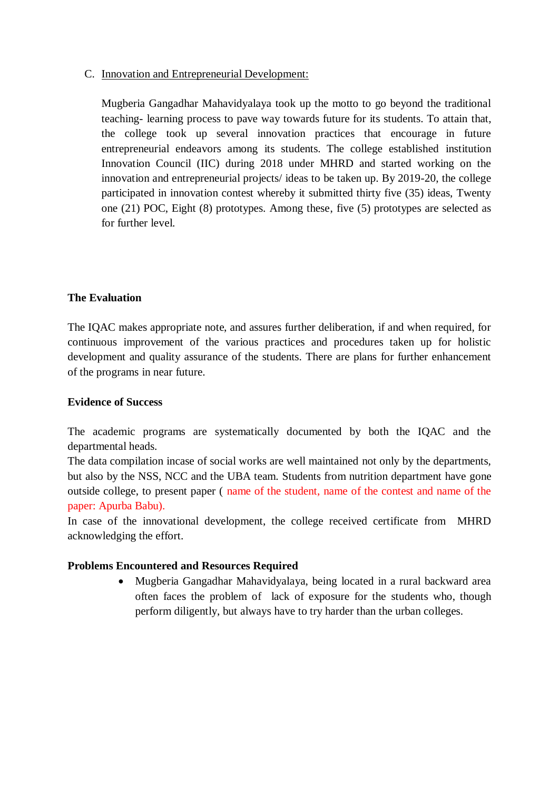C. Innovation and Entrepreneurial Development:

Mugberia Gangadhar Mahavidyalaya took up the motto to go beyond the traditional teaching- learning process to pave way towards future for its students. To attain that, the college took up several innovation practices that encourage in future entrepreneurial endeavors among its students. The college established institution Innovation Council (IIC) during 2018 under MHRD and started working on the innovation and entrepreneurial projects/ ideas to be taken up. By 2019-20, the college participated in innovation contest whereby it submitted thirty five (35) ideas, Twenty one (21) POC, Eight (8) prototypes. Among these, five (5) prototypes are selected as for further level.

# **The Evaluation**

The IQAC makes appropriate note, and assures further deliberation, if and when required, for continuous improvement of the various practices and procedures taken up for holistic development and quality assurance of the students. There are plans for further enhancement of the programs in near future.

## **Evidence of Success**

The academic programs are systematically documented by both the IQAC and the departmental heads.

The data compilation incase of social works are well maintained not only by the departments, but also by the NSS, NCC and the UBA team. Students from nutrition department have gone outside college, to present paper ( name of the student, name of the contest and name of the paper: Apurba Babu).

In case of the innovational development, the college received certificate from MHRD acknowledging the effort.

## **Problems Encountered and Resources Required**

 Mugberia Gangadhar Mahavidyalaya, being located in a rural backward area often faces the problem of lack of exposure for the students who, though perform diligently, but always have to try harder than the urban colleges.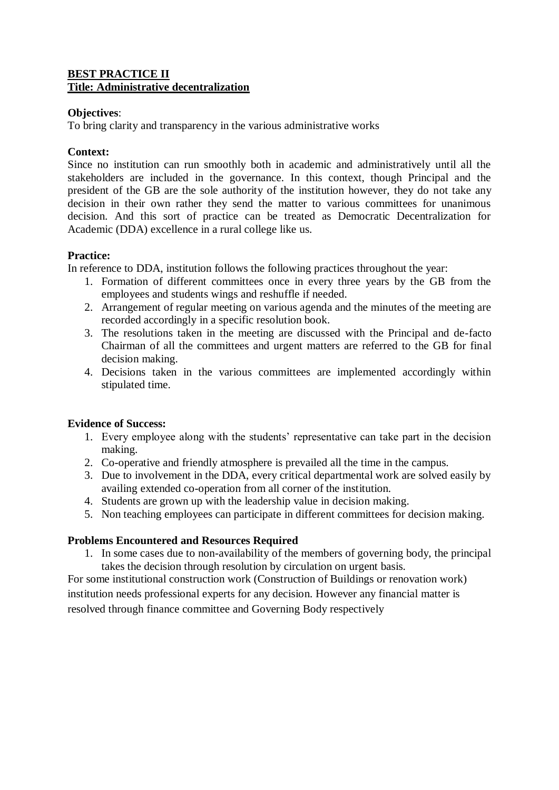## **BEST PRACTICE II Title: Administrative decentralization**

#### **Objectives**:

To bring clarity and transparency in the various administrative works

#### **Context:**

Since no institution can run smoothly both in academic and administratively until all the stakeholders are included in the governance. In this context, though Principal and the president of the GB are the sole authority of the institution however, they do not take any decision in their own rather they send the matter to various committees for unanimous decision. And this sort of practice can be treated as Democratic Decentralization for Academic (DDA) excellence in a rural college like us.

#### **Practice:**

In reference to DDA, institution follows the following practices throughout the year:

- 1. Formation of different committees once in every three years by the GB from the employees and students wings and reshuffle if needed.
- 2. Arrangement of regular meeting on various agenda and the minutes of the meeting are recorded accordingly in a specific resolution book.
- 3. The resolutions taken in the meeting are discussed with the Principal and de-facto Chairman of all the committees and urgent matters are referred to the GB for final decision making.
- 4. Decisions taken in the various committees are implemented accordingly within stipulated time.

## **Evidence of Success:**

- 1. Every employee along with the students' representative can take part in the decision making.
- 2. Co-operative and friendly atmosphere is prevailed all the time in the campus.
- 3. Due to involvement in the DDA, every critical departmental work are solved easily by availing extended co-operation from all corner of the institution.
- 4. Students are grown up with the leadership value in decision making.
- 5. Non teaching employees can participate in different committees for decision making.

## **Problems Encountered and Resources Required**

1. In some cases due to non-availability of the members of governing body, the principal takes the decision through resolution by circulation on urgent basis.

For some institutional construction work (Construction of Buildings or renovation work) institution needs professional experts for any decision. However any financial matter is resolved through finance committee and Governing Body respectively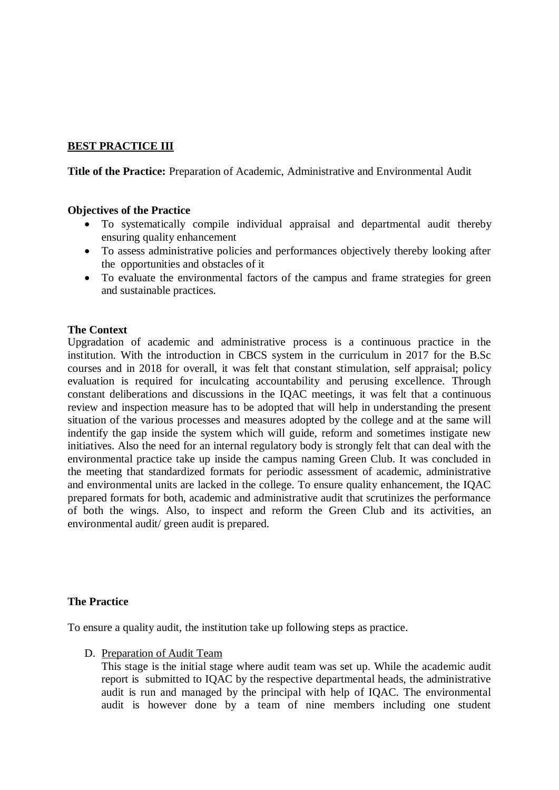## **BEST PRACTICE III**

**Title of the Practice:** Preparation of Academic, Administrative and Environmental Audit

#### **Objectives of the Practice**

- To systematically compile individual appraisal and departmental audit thereby ensuring quality enhancement
- To assess administrative policies and performances objectively thereby looking after the opportunities and obstacles of it
- To evaluate the environmental factors of the campus and frame strategies for green and sustainable practices.

#### **The Context**

Upgradation of academic and administrative process is a continuous practice in the institution. With the introduction in CBCS system in the curriculum in 2017 for the B.Sc courses and in 2018 for overall, it was felt that constant stimulation, self appraisal; policy evaluation is required for inculcating accountability and perusing excellence. Through constant deliberations and discussions in the IQAC meetings, it was felt that a continuous review and inspection measure has to be adopted that will help in understanding the present situation of the various processes and measures adopted by the college and at the same will indentify the gap inside the system which will guide, reform and sometimes instigate new initiatives. Also the need for an internal regulatory body is strongly felt that can deal with the environmental practice take up inside the campus naming Green Club. It was concluded in the meeting that standardized formats for periodic assessment of academic, administrative and environmental units are lacked in the college. To ensure quality enhancement, the IQAC prepared formats for both, academic and administrative audit that scrutinizes the performance of both the wings. Also, to inspect and reform the Green Club and its activities, an environmental audit/ green audit is prepared.

#### **The Practice**

To ensure a quality audit, the institution take up following steps as practice.

D. Preparation of Audit Team

This stage is the initial stage where audit team was set up. While the academic audit report is submitted to IQAC by the respective departmental heads, the administrative audit is run and managed by the principal with help of IQAC. The environmental audit is however done by a team of nine members including one student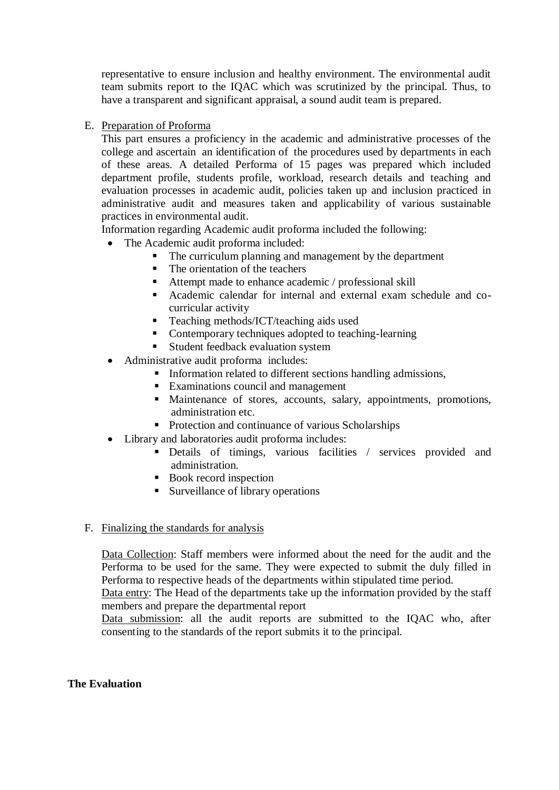representative to ensure inclusion and healthy environment. The environmental audit team submits report to the IQAC which was scrutinized by the principal. Thus, to have a transparent and significant appraisal, a sound audit team is prepared.

#### E. Preparation of Proforma

This part ensures a proficiency in the academic and administrative processes of the college and ascertain an identification of the procedures used by departments in each of these areas. A detailed Performa of 15 pages was prepared which included department profile, students profile, workload, research details and teaching and evaluation processes in academic audit, policies taken up and inclusion practiced in administrative audit and measures taken and applicability of various sustainable practices in environmental audit.

Information regarding Academic audit proforma included the following:

- The Academic audit proforma included:
	- The curriculum planning and management by the department
	- The orientation of the teachers
	- Attempt made to enhance academic / professional skill
	- Academic calendar for internal and external exam schedule and cocurricular activity
	- Teaching methods/ICT/teaching aids used
	- Contemporary techniques adopted to teaching-learning
	- Student feedback evaluation system
- Administrative audit proforma includes:
	- Information related to different sections handling admissions,
	- Examinations council and management
	- Maintenance of stores, accounts, salary, appointments, promotions, administration etc.
	- Protection and continuance of various Scholarships
- Library and laboratories audit proforma includes:
	- Details of timings, various facilities / services provided and administration.
	- Book record inspection
	- **Surveillance of library operations**

#### F. Finalizing the standards for analysis

Data Collection: Staff members were informed about the need for the audit and the Performa to be used for the same. They were expected to submit the duly filled in Performa to respective heads of the departments within stipulated time period.

Data entry: The Head of the departments take up the information provided by the staff members and prepare the departmental report

Data submission: all the audit reports are submitted to the IQAC who, after consenting to the standards of the report submits it to the principal.

#### **The Evaluation**